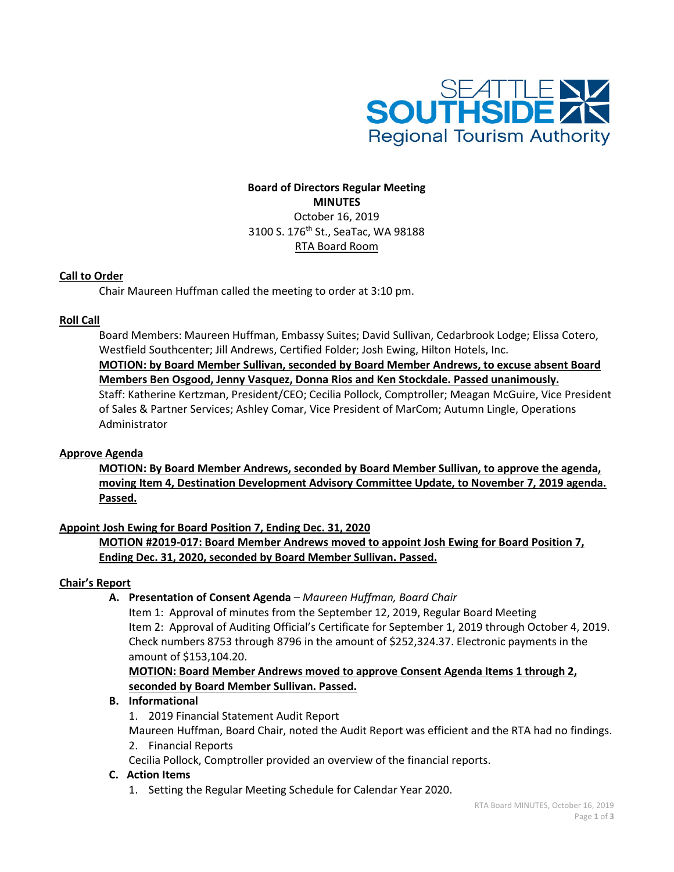

# **Board of Directors Regular Meeting MINUTES** October 16, 2019 3100 S. 176<sup>th</sup> St., SeaTac, WA 98188 RTA Board Room

## **Call to Order**

Chair Maureen Huffman called the meeting to order at 3:10 pm.

## **Roll Call**

Board Members: Maureen Huffman, Embassy Suites; David Sullivan, Cedarbrook Lodge; Elissa Cotero, Westfield Southcenter; Jill Andrews, Certified Folder; Josh Ewing, Hilton Hotels, Inc. **MOTION: by Board Member Sullivan, seconded by Board Member Andrews, to excuse absent Board Members Ben Osgood, Jenny Vasquez, Donna Rios and Ken Stockdale. Passed unanimously.** Staff: Katherine Kertzman, President/CEO; Cecilia Pollock, Comptroller; Meagan McGuire, Vice President of Sales & Partner Services; Ashley Comar, Vice President of MarCom; Autumn Lingle, Operations Administrator

## **Approve Agenda**

**MOTION: By Board Member Andrews, seconded by Board Member Sullivan, to approve the agenda, moving Item 4, Destination Development Advisory Committee Update, to November 7, 2019 agenda. Passed.**

### **Appoint Josh Ewing for Board Position 7, Ending Dec. 31, 2020**

**MOTION #2019-017: Board Member Andrews moved to appoint Josh Ewing for Board Position 7, Ending Dec. 31, 2020, seconded by Board Member Sullivan. Passed.**

### **Chair's Report**

**A. Presentation of Consent Agenda** *– Maureen Huffman, Board Chair*

Item 1: Approval of minutes from the September 12, 2019, Regular Board Meeting Item 2: Approval of Auditing Official's Certificate for September 1, 2019 through October 4, 2019. Check numbers 8753 through 8796 in the amount of \$252,324.37. Electronic payments in the amount of \$153,104.20.

**MOTION: Board Member Andrews moved to approve Consent Agenda Items 1 through 2, seconded by Board Member Sullivan. Passed.**

### **B. Informational**

1. 2019 Financial Statement Audit Report

Maureen Huffman, Board Chair, noted the Audit Report was efficient and the RTA had no findings. 2. Financial Reports

Cecilia Pollock, Comptroller provided an overview of the financial reports.

### **C. Action Items**

1. Setting the Regular Meeting Schedule for Calendar Year 2020.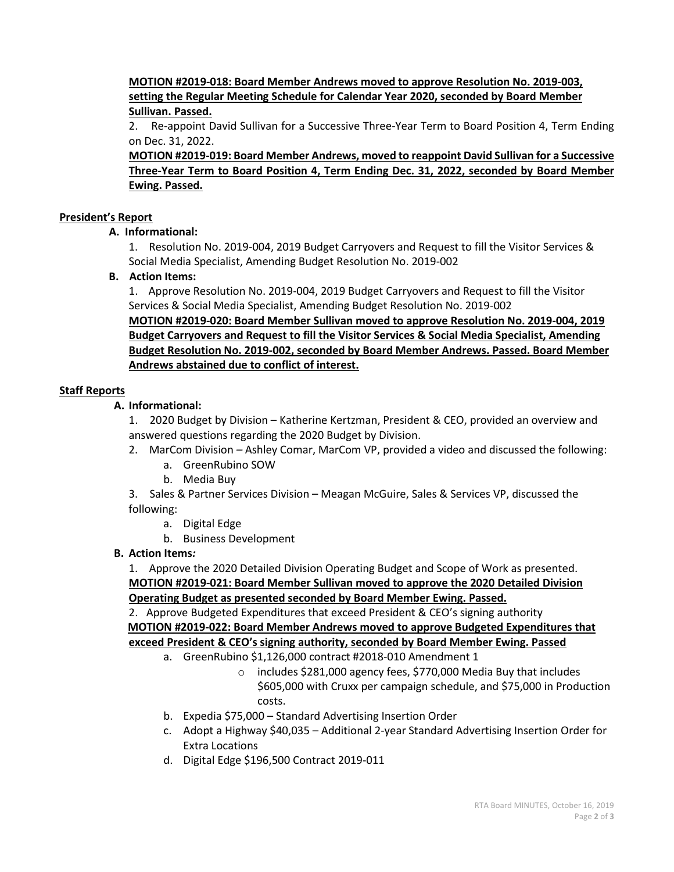**MOTION #2019-018: Board Member Andrews moved to approve Resolution No. 2019-003, setting the Regular Meeting Schedule for Calendar Year 2020, seconded by Board Member Sullivan. Passed.**

2. Re-appoint David Sullivan for a Successive Three-Year Term to Board Position 4, Term Ending on Dec. 31, 2022.

**MOTION #2019-019: Board Member Andrews, moved to reappoint David Sullivan for a Successive Three-Year Term to Board Position 4, Term Ending Dec. 31, 2022, seconded by Board Member Ewing. Passed.**

## **President's Report**

### **A. Informational:**

1. Resolution No. 2019-004, 2019 Budget Carryovers and Request to fill the Visitor Services & Social Media Specialist, Amending Budget Resolution No. 2019-002

## **B. Action Items:**

1. Approve Resolution No. 2019-004, 2019 Budget Carryovers and Request to fill the Visitor Services & Social Media Specialist, Amending Budget Resolution No. 2019-002

**MOTION #2019-020: Board Member Sullivan moved to approve Resolution No. 2019-004, 2019 Budget Carryovers and Request to fill the Visitor Services & Social Media Specialist, Amending Budget Resolution No. 2019-002, seconded by Board Member Andrews. Passed. Board Member Andrews abstained due to conflict of interest.** 

## **Staff Reports**

# **A. Informational:**

1. 2020 Budget by Division – Katherine Kertzman, President & CEO, provided an overview and answered questions regarding the 2020 Budget by Division.

- 2. MarCom Division *–* Ashley Comar, MarCom VP, provided a video and discussed the following:
	- a. GreenRubino SOW
	- b. Media Buy

3. Sales & Partner Services Division – Meagan McGuire, Sales & Services VP, discussed the following:

- a. Digital Edge
- b. Business Development

## **B. Action Items***:*

1. Approve the 2020 Detailed Division Operating Budget and Scope of Work as presented. **MOTION #2019-021: Board Member Sullivan moved to approve the 2020 Detailed Division Operating Budget as presented seconded by Board Member Ewing. Passed.**

2. Approve Budgeted Expenditures that exceed President & CEO's signing authority  **MOTION #2019-022: Board Member Andrews moved to approve Budgeted Expenditures that exceed President & CEO's signing authority, seconded by Board Member Ewing. Passed** 

- a. GreenRubino \$1,126,000 contract #2018-010 Amendment 1
	- o includes \$281,000 agency fees, \$770,000 Media Buy that includes \$605,000 with Cruxx per campaign schedule, and \$75,000 in Production costs.
- b. Expedia \$75,000 Standard Advertising Insertion Order
- c. Adopt a Highway \$40,035 Additional 2-year Standard Advertising Insertion Order for Extra Locations
- d. Digital Edge \$196,500 Contract 2019-011